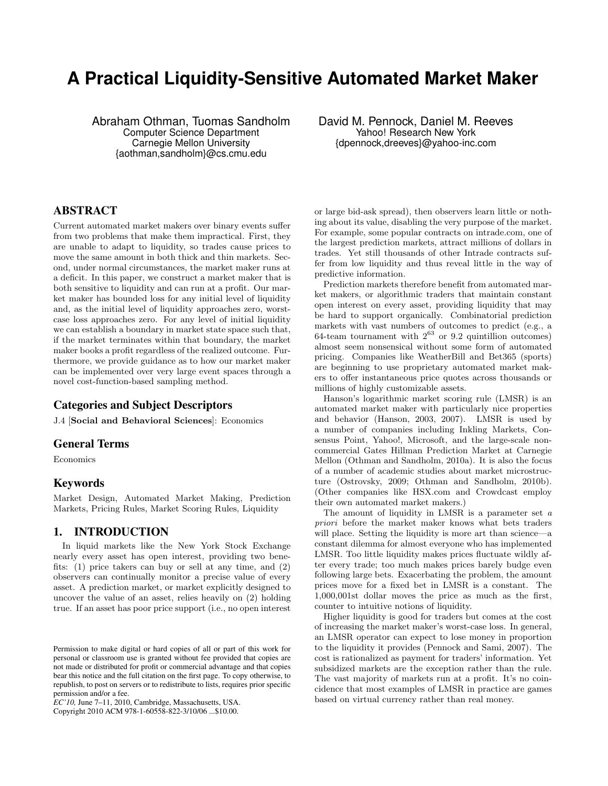# **A Practical Liquidity-Sensitive Automated Market Maker**

Abraham Othman, Tuomas Sandholm Computer Science Department Carnegie Mellon University {aothman,sandholm}@cs.cmu.edu

ABSTRACT

Current automated market makers over binary events suffer from two problems that make them impractical. First, they are unable to adapt to liquidity, so trades cause prices to move the same amount in both thick and thin markets. Second, under normal circumstances, the market maker runs at a deficit. In this paper, we construct a market maker that is both sensitive to liquidity and can run at a profit. Our market maker has bounded loss for any initial level of liquidity and, as the initial level of liquidity approaches zero, worstcase loss approaches zero. For any level of initial liquidity we can establish a boundary in market state space such that, if the market terminates within that boundary, the market maker books a profit regardless of the realized outcome. Furthermore, we provide guidance as to how our market maker can be implemented over very large event spaces through a novel cost-function-based sampling method.

## Categories and Subject Descriptors

J.4 [Social and Behavioral Sciences]: Economics

## General Terms

Economics

# Keywords

Market Design, Automated Market Making, Prediction Markets, Pricing Rules, Market Scoring Rules, Liquidity

## 1. INTRODUCTION

In liquid markets like the New York Stock Exchange nearly every asset has open interest, providing two benefits: (1) price takers can buy or sell at any time, and (2) observers can continually monitor a precise value of every asset. A prediction market, or market explicitly designed to uncover the value of an asset, relies heavily on (2) holding true. If an asset has poor price support (i.e., no open interest

Copyright 2010 ACM 978-1-60558-822-3/10/06 ...\$10.00.

David M. Pennock, Daniel M. Reeves Yahoo! Research New York {dpennock,dreeves}@yahoo-inc.com

or large bid-ask spread), then observers learn little or nothing about its value, disabling the very purpose of the market. For example, some popular contracts on intrade.com, one of the largest prediction markets, attract millions of dollars in trades. Yet still thousands of other Intrade contracts suffer from low liquidity and thus reveal little in the way of predictive information.

Prediction markets therefore benefit from automated market makers, or algorithmic traders that maintain constant open interest on every asset, providing liquidity that may be hard to support organically. Combinatorial prediction markets with vast numbers of outcomes to predict (e.g., a 64-team tournament with  $2^{63}$  or 9.2 quintillion outcomes) almost seem nonsensical without some form of automated pricing. Companies like WeatherBill and Bet365 (sports) are beginning to use proprietary automated market makers to offer instantaneous price quotes across thousands or millions of highly customizable assets.

Hanson's logarithmic market scoring rule (LMSR) is an automated market maker with particularly nice properties and behavior (Hanson, 2003, 2007). LMSR is used by a number of companies including Inkling Markets, Consensus Point, Yahoo!, Microsoft, and the large-scale noncommercial Gates Hillman Prediction Market at Carnegie Mellon (Othman and Sandholm, 2010a). It is also the focus of a number of academic studies about market microstructure (Ostrovsky, 2009; Othman and Sandholm, 2010b). (Other companies like HSX.com and Crowdcast employ their own automated market makers.)

The amount of liquidity in LMSR is a parameter set a priori before the market maker knows what bets traders will place. Setting the liquidity is more art than science—a constant dilemma for almost everyone who has implemented LMSR. Too little liquidity makes prices fluctuate wildly after every trade; too much makes prices barely budge even following large bets. Exacerbating the problem, the amount prices move for a fixed bet in LMSR is a constant. The 1,000,001st dollar moves the price as much as the first, counter to intuitive notions of liquidity.

Higher liquidity is good for traders but comes at the cost of increasing the market maker's worst-case loss. In general, an LMSR operator can expect to lose money in proportion to the liquidity it provides (Pennock and Sami, 2007). The cost is rationalized as payment for traders' information. Yet subsidized markets are the exception rather than the rule. The vast majority of markets run at a profit. It's no coincidence that most examples of LMSR in practice are games based on virtual currency rather than real money.

Permission to make digital or hard copies of all or part of this work for personal or classroom use is granted without fee provided that copies are not made or distributed for profit or commercial advantage and that copies bear this notice and the full citation on the first page. To copy otherwise, to republish, to post on servers or to redistribute to lists, requires prior specific permission and/or a fee.

*EC'10,* June 7–11, 2010, Cambridge, Massachusetts, USA.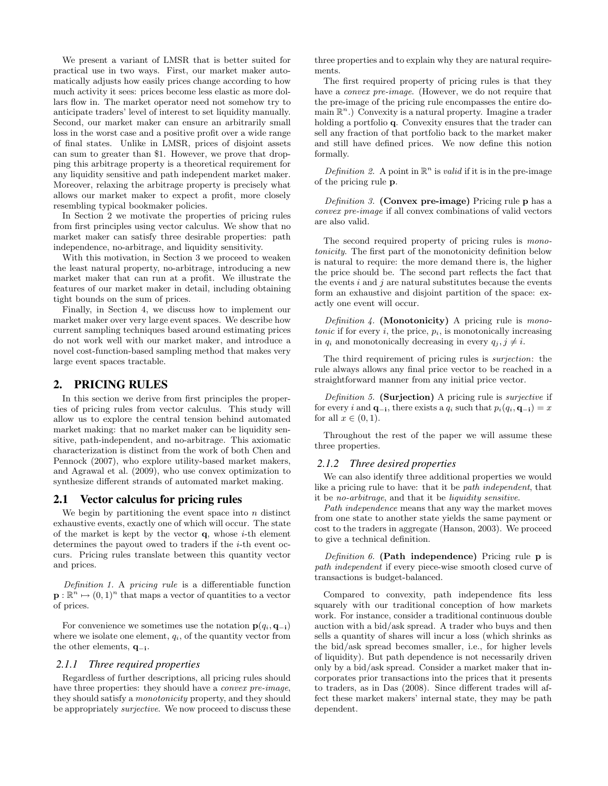We present a variant of LMSR that is better suited for practical use in two ways. First, our market maker automatically adjusts how easily prices change according to how much activity it sees: prices become less elastic as more dollars flow in. The market operator need not somehow try to anticipate traders' level of interest to set liquidity manually. Second, our market maker can ensure an arbitrarily small loss in the worst case and a positive profit over a wide range of final states. Unlike in LMSR, prices of disjoint assets can sum to greater than \$1. However, we prove that dropping this arbitrage property is a theoretical requirement for any liquidity sensitive and path independent market maker. Moreover, relaxing the arbitrage property is precisely what allows our market maker to expect a profit, more closely resembling typical bookmaker policies.

In Section 2 we motivate the properties of pricing rules from first principles using vector calculus. We show that no market maker can satisfy three desirable properties: path independence, no-arbitrage, and liquidity sensitivity.

With this motivation, in Section 3 we proceed to weaken the least natural property, no-arbitrage, introducing a new market maker that can run at a profit. We illustrate the features of our market maker in detail, including obtaining tight bounds on the sum of prices.

Finally, in Section 4, we discuss how to implement our market maker over very large event spaces. We describe how current sampling techniques based around estimating prices do not work well with our market maker, and introduce a novel cost-function-based sampling method that makes very large event spaces tractable.

## 2. PRICING RULES

In this section we derive from first principles the properties of pricing rules from vector calculus. This study will allow us to explore the central tension behind automated market making: that no market maker can be liquidity sensitive, path-independent, and no-arbitrage. This axiomatic characterization is distinct from the work of both Chen and Pennock (2007), who explore utility-based market makers, and Agrawal et al. (2009), who use convex optimization to synthesize different strands of automated market making.

#### 2.1 Vector calculus for pricing rules

We begin by partitioning the event space into  $n$  distinct exhaustive events, exactly one of which will occur. The state of the market is kept by the vector  $q$ , whose *i*-th element determines the payout owed to traders if the *i*-th event occurs. Pricing rules translate between this quantity vector and prices.

Definition 1. A pricing rule is a differentiable function  $\mathbf{p} : \mathbb{R}^n \mapsto (0,1)^n$  that maps a vector of quantities to a vector of prices.

For convenience we sometimes use the notation  $p(q_i, \mathbf{q}_{-i})$ where we isolate one element,  $q_i$ , of the quantity vector from the other elements,  $q_{-i}$ .

#### *2.1.1 Three required properties*

Regardless of further descriptions, all pricing rules should have three properties: they should have a *convex pre-image*, they should satisfy a monotonicity property, and they should be appropriately surjective. We now proceed to discuss these three properties and to explain why they are natural requirements.

The first required property of pricing rules is that they have a *convex pre-image*. (However, we do not require that the pre-image of the pricing rule encompasses the entire domain  $\mathbb{R}^n$ .) Convexity is a natural property. Imagine a trader holding a portfolio **q**. Convexity ensures that the trader can sell any fraction of that portfolio back to the market maker and still have defined prices. We now define this notion formally.

Definition 2. A point in  $\mathbb{R}^n$  is valid if it is in the pre-image of the pricing rule p.

Definition 3. (Convex pre-image) Pricing rule p has a convex pre-image if all convex combinations of valid vectors are also valid.

The second required property of pricing rules is monotonicity. The first part of the monotonicity definition below is natural to require: the more demand there is, the higher the price should be. The second part reflects the fact that the events  $i$  and  $j$  are natural substitutes because the events form an exhaustive and disjoint partition of the space: exactly one event will occur.

Definition  $4$ . (Monotonicity) A pricing rule is monotonic if for every  $i$ , the price,  $p_i$ , is monotonically increasing in  $q_i$  and monotonically decreasing in every  $q_j, j \neq i$ .

The third requirement of pricing rules is surjection: the rule always allows any final price vector to be reached in a straightforward manner from any initial price vector.

Definition 5. (Surjection) A pricing rule is *surjective* if for every i and  $\mathbf{q}_{-i}$ , there exists a  $q_i$  such that  $p_i(q_i, \mathbf{q}_{-i}) = x$ for all  $x \in (0,1)$ .

Throughout the rest of the paper we will assume these three properties.

#### *2.1.2 Three desired properties*

We can also identify three additional properties we would like a pricing rule to have: that it be path independent, that it be no-arbitrage, and that it be liquidity sensitive.

Path independence means that any way the market moves from one state to another state yields the same payment or cost to the traders in aggregate (Hanson, 2003). We proceed to give a technical definition.

Definition  $6.$  (Path independence) Pricing rule  $p$  is path independent if every piece-wise smooth closed curve of transactions is budget-balanced.

Compared to convexity, path independence fits less squarely with our traditional conception of how markets work. For instance, consider a traditional continuous double auction with a bid/ask spread. A trader who buys and then sells a quantity of shares will incur a loss (which shrinks as the bid/ask spread becomes smaller, i.e., for higher levels of liquidity). But path dependence is not necessarily driven only by a bid/ask spread. Consider a market maker that incorporates prior transactions into the prices that it presents to traders, as in Das (2008). Since different trades will affect these market makers' internal state, they may be path dependent.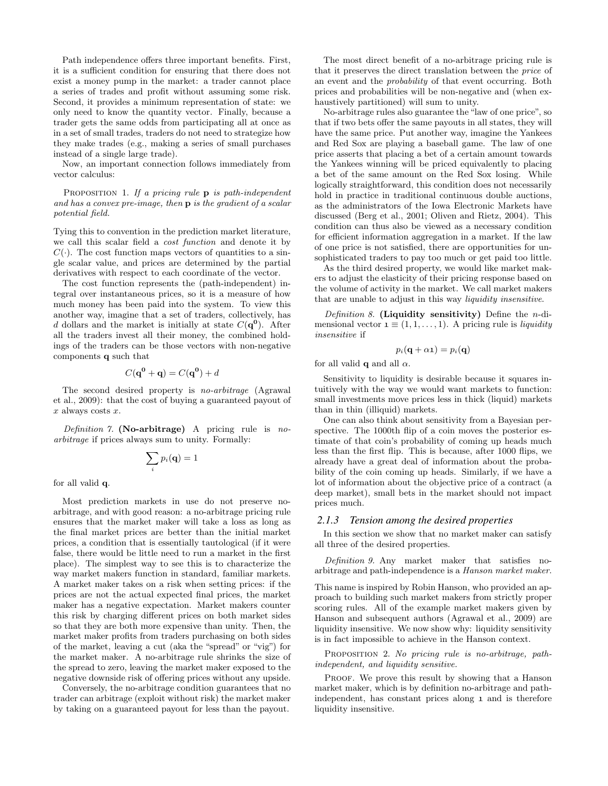Path independence offers three important benefits. First, it is a sufficient condition for ensuring that there does not exist a money pump in the market: a trader cannot place a series of trades and profit without assuming some risk. Second, it provides a minimum representation of state: we only need to know the quantity vector. Finally, because a trader gets the same odds from participating all at once as in a set of small trades, traders do not need to strategize how they make trades (e.g., making a series of small purchases instead of a single large trade).

Now, an important connection follows immediately from vector calculus:

PROPOSITION 1. If a pricing rule  $\bf{p}$  is path-independent and has a convex pre-image, then p is the gradient of a scalar potential field.

Tying this to convention in the prediction market literature, we call this scalar field a cost function and denote it by  $C(\cdot)$ . The cost function maps vectors of quantities to a single scalar value, and prices are determined by the partial derivatives with respect to each coordinate of the vector.

The cost function represents the (path-independent) integral over instantaneous prices, so it is a measure of how much money has been paid into the system. To view this another way, imagine that a set of traders, collectively, has d dollars and the market is initially at state  $C(\mathbf{q}^0)$ . After all the traders invest all their money, the combined holdings of the traders can be those vectors with non-negative components q such that

$$
C(\mathbf{q}^0 + \mathbf{q}) = C(\mathbf{q}^0) + d
$$

The second desired property is no-arbitrage (Agrawal et al., 2009): that the cost of buying a guaranteed payout of  $x$  always costs  $x$ .

Definition 7. (No-arbitrage) A pricing rule is noarbitrage if prices always sum to unity. Formally:

$$
\sum_i p_i(\mathbf{q}) = 1
$$

for all valid q.

Most prediction markets in use do not preserve noarbitrage, and with good reason: a no-arbitrage pricing rule ensures that the market maker will take a loss as long as the final market prices are better than the initial market prices, a condition that is essentially tautological (if it were false, there would be little need to run a market in the first place). The simplest way to see this is to characterize the way market makers function in standard, familiar markets. A market maker takes on a risk when setting prices: if the prices are not the actual expected final prices, the market maker has a negative expectation. Market makers counter this risk by charging different prices on both market sides so that they are both more expensive than unity. Then, the market maker profits from traders purchasing on both sides of the market, leaving a cut (aka the "spread" or "vig") for the market maker. A no-arbitrage rule shrinks the size of the spread to zero, leaving the market maker exposed to the negative downside risk of offering prices without any upside.

Conversely, the no-arbitrage condition guarantees that no trader can arbitrage (exploit without risk) the market maker by taking on a guaranteed payout for less than the payout.

The most direct benefit of a no-arbitrage pricing rule is that it preserves the direct translation between the price of an event and the probability of that event occurring. Both prices and probabilities will be non-negative and (when exhaustively partitioned) will sum to unity.

No-arbitrage rules also guarantee the "law of one price", so that if two bets offer the same payouts in all states, they will have the same price. Put another way, imagine the Yankees and Red Sox are playing a baseball game. The law of one price asserts that placing a bet of a certain amount towards the Yankees winning will be priced equivalently to placing a bet of the same amount on the Red Sox losing. While logically straightforward, this condition does not necessarily hold in practice in traditional continuous double auctions, as the administrators of the Iowa Electronic Markets have discussed (Berg et al., 2001; Oliven and Rietz, 2004). This condition can thus also be viewed as a necessary condition for efficient information aggregation in a market. If the law of one price is not satisfied, there are opportunities for unsophisticated traders to pay too much or get paid too little.

As the third desired property, we would like market makers to adjust the elasticity of their pricing response based on the volume of activity in the market. We call market makers that are unable to adjust in this way liquidity insensitive.

Definition 8. (Liquidity sensitivity) Define the *n*-dimensional vector  $\mathbf{1} \equiv (1, 1, \ldots, 1)$ . A pricing rule is *liquidity* insensitive if

$$
p_i(\mathbf{q} + \alpha \mathbf{1}) = p_i(\mathbf{q})
$$

for all valid **q** and all  $\alpha$ .

Sensitivity to liquidity is desirable because it squares intuitively with the way we would want markets to function: small investments move prices less in thick (liquid) markets than in thin (illiquid) markets.

One can also think about sensitivity from a Bayesian perspective. The 1000th flip of a coin moves the posterior estimate of that coin's probability of coming up heads much less than the first flip. This is because, after 1000 flips, we already have a great deal of information about the probability of the coin coming up heads. Similarly, if we have a lot of information about the objective price of a contract (a deep market), small bets in the market should not impact prices much.

#### *2.1.3 Tension among the desired properties*

In this section we show that no market maker can satisfy all three of the desired properties.

Definition 9. Any market maker that satisfies noarbitrage and path-independence is a Hanson market maker.

This name is inspired by Robin Hanson, who provided an approach to building such market makers from strictly proper scoring rules. All of the example market makers given by Hanson and subsequent authors (Agrawal et al., 2009) are liquidity insensitive. We now show why: liquidity sensitivity is in fact impossible to achieve in the Hanson context.

PROPOSITION 2. No pricing rule is no-arbitrage, pathindependent, and liquidity sensitive.

PROOF. We prove this result by showing that a Hanson market maker, which is by definition no-arbitrage and pathindependent, has constant prices along 1 and is therefore liquidity insensitive.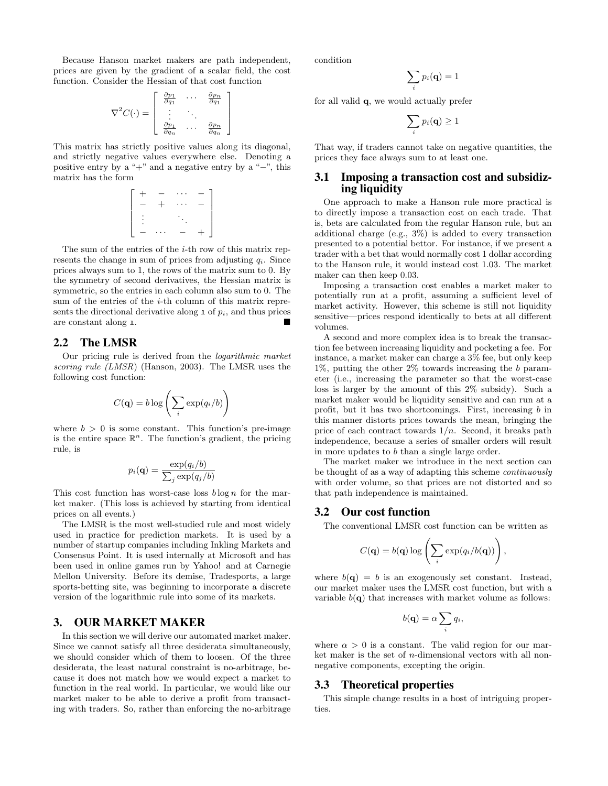Because Hanson market makers are path independent, prices are given by the gradient of a scalar field, the cost function. Consider the Hessian of that cost function

$$
\nabla^2 C(\cdot) = \begin{bmatrix} \frac{\partial p_1}{\partial q_1} & \cdots & \frac{\partial p_n}{\partial q_1} \\ \vdots & \ddots & \vdots \\ \frac{\partial p_1}{\partial q_n} & \cdots & \frac{\partial p_n}{\partial q_n} \end{bmatrix}
$$

This matrix has strictly positive values along its diagonal, and strictly negative values everywhere else. Denoting a positive entry by a "+" and a negative entry by a "−", this matrix has the form

$$
\left[\begin{array}{cccc} + & - & \cdots & - \\ - & + & \cdots & - \\ \vdots & & \ddots & \\ - & \cdots & - & + \end{array}\right]
$$

The sum of the entries of the *i*-th row of this matrix represents the change in sum of prices from adjusting  $q_i$ . Since prices always sum to 1, the rows of the matrix sum to 0. By the symmetry of second derivatives, the Hessian matrix is symmetric, so the entries in each column also sum to 0. The sum of the entries of the *i*-th column of this matrix represents the directional derivative along  $\mathbf{1}$  of  $p_i$ , and thus prices are constant along 1.

## 2.2 The LMSR

Our pricing rule is derived from the logarithmic market scoring rule (LMSR) (Hanson, 2003). The LMSR uses the following cost function:

$$
C(\mathbf{q}) = b \log \left( \sum_{i} \exp(q_i/b) \right)
$$

where  $b > 0$  is some constant. This function's pre-image is the entire space  $\mathbb{R}^n$ . The function's gradient, the pricing rule, is

$$
p_i(\mathbf{q}) = \frac{\exp(q_i/b)}{\sum_j \exp(q_j/b)}
$$

This cost function has worst-case loss  $b \log n$  for the market maker. (This loss is achieved by starting from identical prices on all events.)

The LMSR is the most well-studied rule and most widely used in practice for prediction markets. It is used by a number of startup companies including Inkling Markets and Consensus Point. It is used internally at Microsoft and has been used in online games run by Yahoo! and at Carnegie Mellon University. Before its demise, Tradesports, a large sports-betting site, was beginning to incorporate a discrete version of the logarithmic rule into some of its markets.

# 3. OUR MARKET MAKER

In this section we will derive our automated market maker. Since we cannot satisfy all three desiderata simultaneously, we should consider which of them to loosen. Of the three desiderata, the least natural constraint is no-arbitrage, because it does not match how we would expect a market to function in the real world. In particular, we would like our market maker to be able to derive a profit from transacting with traders. So, rather than enforcing the no-arbitrage condition

$$
\sum_i p_i(\mathbf{q}) = 1
$$

for all valid q, we would actually prefer

$$
\sum_i p_i(\mathbf{q}) \geq 1
$$

That way, if traders cannot take on negative quantities, the prices they face always sum to at least one.

## 3.1 Imposing a transaction cost and subsidizing liquidity

One approach to make a Hanson rule more practical is to directly impose a transaction cost on each trade. That is, bets are calculated from the regular Hanson rule, but an additional charge (e.g., 3%) is added to every transaction presented to a potential bettor. For instance, if we present a trader with a bet that would normally cost 1 dollar according to the Hanson rule, it would instead cost 1.03. The market maker can then keep 0.03.

Imposing a transaction cost enables a market maker to potentially run at a profit, assuming a sufficient level of market activity. However, this scheme is still not liquidity sensitive—prices respond identically to bets at all different volumes.

A second and more complex idea is to break the transaction fee between increasing liquidity and pocketing a fee. For instance, a market maker can charge a 3% fee, but only keep 1%, putting the other 2% towards increasing the b parameter (i.e., increasing the parameter so that the worst-case loss is larger by the amount of this 2% subsidy). Such a market maker would be liquidity sensitive and can run at a profit, but it has two shortcomings. First, increasing b in this manner distorts prices towards the mean, bringing the price of each contract towards  $1/n$ . Second, it breaks path independence, because a series of smaller orders will result in more updates to b than a single large order.

The market maker we introduce in the next section can be thought of as a way of adapting this scheme continuously with order volume, so that prices are not distorted and so that path independence is maintained.

## 3.2 Our cost function

The conventional LMSR cost function can be written as

,

$$
C(\mathbf{q}) = b(\mathbf{q}) \log \left( \sum_i \exp(q_i/b(\mathbf{q})) \right)
$$

where  $b(\mathbf{q}) = b$  is an exogenously set constant. Instead, our market maker uses the LMSR cost function, but with a variable  $b(\mathbf{q})$  that increases with market volume as follows:

$$
b(\mathbf{q}) = \alpha \sum_{i} q_i,
$$

where  $\alpha > 0$  is a constant. The valid region for our market maker is the set of n-dimensional vectors with all nonnegative components, excepting the origin.

#### 3.3 Theoretical properties

This simple change results in a host of intriguing properties.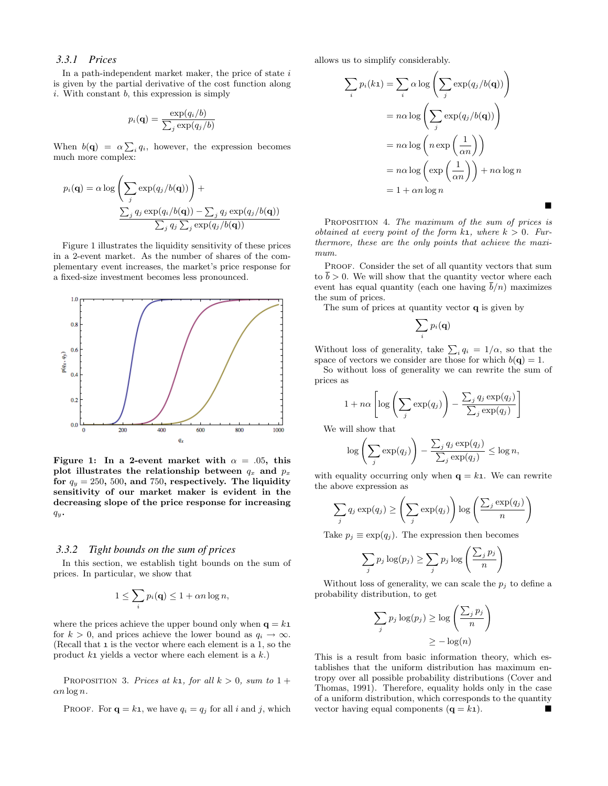## *3.3.1 Prices*

In a path-independent market maker, the price of state  $i$ is given by the partial derivative of the cost function along  $i.$  With constant  $b$ , this expression is simply

$$
p_i(\mathbf{q}) = \frac{\exp(q_i/b)}{\sum_j \exp(q_j/b)}
$$

When  $b(\mathbf{q}) = \alpha \sum_i q_i$ , however, the expression becomes much more complex:

$$
p_i(\mathbf{q}) = \alpha \log \left( \sum_j \exp(q_j/b(\mathbf{q})) \right) +
$$

$$
\frac{\sum_j q_j \exp(q_i/b(\mathbf{q})) - \sum_j q_j \exp(q_j/b(\mathbf{q}))}{\sum_j q_j \sum_j \exp(q_j/b(\mathbf{q}))}
$$

Figure 1 illustrates the liquidity sensitivity of these prices in a 2-event market. As the number of shares of the complementary event increases, the market's price response for a fixed-size investment becomes less pronounced.



Figure 1: In a 2-event market with  $\alpha = .05$ , this plot illustrates the relationship between  $q_x$  and  $p_x$ for  $q_y = 250$ , 500, and 750, respectively. The liquidity sensitivity of our market maker is evident in the decreasing slope of the price response for increasing  $q_y$ .

#### *3.3.2 Tight bounds on the sum of prices*

In this section, we establish tight bounds on the sum of prices. In particular, we show that

$$
1 \leq \sum_{i} p_i(\mathbf{q}) \leq 1 + \alpha n \log n,
$$

where the prices achieve the upper bound only when  $q = k1$ for  $k > 0$ , and prices achieve the lower bound as  $q_i \to \infty$ . (Recall that 1 is the vector where each element is a 1, so the product  $k_1$  yields a vector where each element is a  $k$ .)

PROPOSITION 3. Prices at k<sub>1</sub>, for all  $k > 0$ , sum to 1 +  $\alpha n \log n$ .

PROOF. For 
$$
\mathbf{q} = k\mathbf{1}
$$
, we have  $q_i = q_j$  for all *i* and *j*, which

allows us to simplify considerably.

$$
\sum_{i} p_{i}(k_{1}) = \sum_{i} \alpha \log \left( \sum_{j} \exp(q_{j}/b(\mathbf{q})) \right)
$$

$$
= n\alpha \log \left( \sum_{j} \exp(q_{j}/b(\mathbf{q})) \right)
$$

$$
= n\alpha \log \left( n \exp \left( \frac{1}{\alpha n} \right) \right)
$$

$$
= n\alpha \log \left( \exp \left( \frac{1}{\alpha n} \right) \right) + n\alpha \log n
$$

$$
= 1 + \alpha n \log n
$$

PROPOSITION 4. The maximum of the sum of prices is obtained at every point of the form  $k_1$ , where  $k > 0$ . Furthermore, these are the only points that achieve the maximum.

 $\blacksquare$ 

PROOF. Consider the set of all quantity vectors that sum to  $b > 0$ . We will show that the quantity vector where each event has equal quantity (each one having  $b/n$ ) maximizes the sum of prices.

The sum of prices at quantity vector **q** is given by

$$
\sum_i p_i(\mathbf{q})
$$

Without loss of generality, take  $\sum_i q_i = 1/\alpha$ , so that the space of vectors we consider are those for which  $b(\mathbf{q}) = 1$ .

So without loss of generality we can rewrite the sum of prices as

$$
1 + n\alpha \left[ \log \left( \sum_{j} \exp(q_j) \right) - \frac{\sum_{j} q_j \exp(q_j)}{\sum_{j} \exp(q_j)} \right]
$$

We will show that

$$
\log\left(\sum_j \exp(q_j)\right) - \frac{\sum_j q_j \exp(q_j)}{\sum_j \exp(q_j)} \leq \log n,
$$

with equality occurring only when  $q = k1$ . We can rewrite the above expression as

$$
\sum_{j} q_j \exp(q_j) \ge \left(\sum_{j} \exp(q_j)\right) \log \left(\frac{\sum_{j} \exp(q_j)}{n}\right)
$$

Take  $p_j \equiv \exp(q_j)$ . The expression then becomes

$$
\sum_{j} p_j \log(p_j) \ge \sum_{j} p_j \log \left( \frac{\sum_{j} p_j}{n} \right)
$$

Without loss of generality, we can scale the  $p_i$  to define a probability distribution, to get

$$
\sum_{j} p_j \log(p_j) \ge \log\left(\frac{\sum_{j} p_j}{n}\right)
$$

$$
\ge -\log(n)
$$

This is a result from basic information theory, which establishes that the uniform distribution has maximum entropy over all possible probability distributions (Cover and Thomas, 1991). Therefore, equality holds only in the case of a uniform distribution, which corresponds to the quantity vector having equal components  $(q = k_1)$ .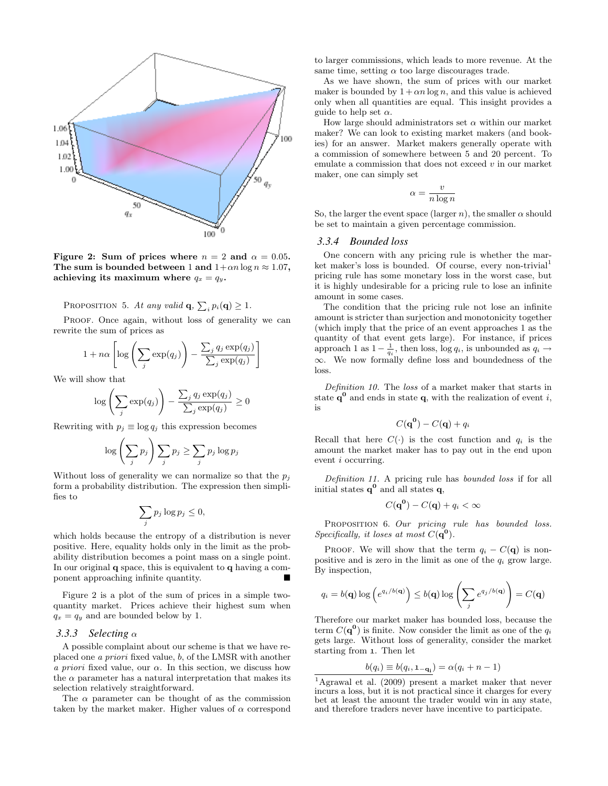

Figure 2: Sum of prices where  $n = 2$  and  $\alpha = 0.05$ . The sum is bounded between 1 and  $1+\alpha n \log n \approx 1.07$ , achieving its maximum where  $q_x = q_y$ .

PROPOSITION 5. At any valid  $\mathbf{q}, \sum_i p_i(\mathbf{q}) \geq 1$ .

PROOF. Once again, without loss of generality we can rewrite the sum of prices as

$$
1 + n\alpha \left[ \log \left( \sum_{j} \exp(q_j) \right) - \frac{\sum_{j} q_j \exp(q_j)}{\sum_{j} \exp(q_j)} \right]
$$

We will show that

$$
\log\left(\sum_{j} \exp(q_j)\right) - \frac{\sum_{j} q_j \exp(q_j)}{\sum_{j} \exp(q_j)} \ge 0
$$

Rewriting with  $p_i \equiv \log q_i$  this expression becomes

$$
\log\left(\sum_j p_j\right)\sum_j p_j\geq \sum_j p_j\log p_j
$$

Without loss of generality we can normalize so that the  $p_i$ form a probability distribution. The expression then simplifies to

$$
\sum_j p_j \log p_j \leq 0,
$$

which holds because the entropy of a distribution is never positive. Here, equality holds only in the limit as the probability distribution becomes a point mass on a single point. In our original  $q$  space, this is equivalent to  $q$  having a component approaching infinite quantity.

Figure 2 is a plot of the sum of prices in a simple twoquantity market. Prices achieve their highest sum when  $q_x = q_y$  and are bounded below by 1.

#### *3.3.3 Selecting* α

A possible complaint about our scheme is that we have replaced one a priori fixed value, b, of the LMSR with another a priori fixed value, our  $\alpha$ . In this section, we discuss how the  $\alpha$  parameter has a natural interpretation that makes its selection relatively straightforward.

The  $\alpha$  parameter can be thought of as the commission taken by the market maker. Higher values of  $\alpha$  correspond to larger commissions, which leads to more revenue. At the same time, setting  $\alpha$  too large discourages trade.

As we have shown, the sum of prices with our market maker is bounded by  $1 + \alpha n \log n$ , and this value is achieved only when all quantities are equal. This insight provides a guide to help set  $\alpha$ .

How large should administrators set  $\alpha$  within our market maker? We can look to existing market makers (and bookies) for an answer. Market makers generally operate with a commission of somewhere between 5 and 20 percent. To emulate a commission that does not exceed  $v$  in our market maker, one can simply set

$$
\alpha = \frac{v}{n \log n}
$$

So, the larger the event space (larger n), the smaller  $\alpha$  should be set to maintain a given percentage commission.

#### *3.3.4 Bounded loss*

One concern with any pricing rule is whether the market maker's loss is bounded. Of course, every non-trivial<sup>1</sup> pricing rule has some monetary loss in the worst case, but it is highly undesirable for a pricing rule to lose an infinite amount in some cases.

The condition that the pricing rule not lose an infinite amount is stricter than surjection and monotonicity together (which imply that the price of an event approaches 1 as the quantity of that event gets large). For instance, if prices approach 1 as  $1 - \frac{1}{q_i}$ , then loss, log  $q_i$ , is unbounded as  $q_i \rightarrow$ ∞. We now formally define loss and boundedness of the loss.

Definition 10. The loss of a market maker that starts in state  $q^0$  and ends in state q, with the realization of event i, is

$$
C(\mathbf{q}^{\mathbf{0}}) - C(\mathbf{q}) + q_i
$$

Recall that here  $C(\cdot)$  is the cost function and  $q_i$  is the amount the market maker has to pay out in the end upon event i occurring.

Definition 11. A pricing rule has bounded loss if for all initial states  $q^0$  and all states  $q$ ,

$$
C(\mathbf{q}^0) - C(\mathbf{q}) + q_i < \infty
$$

PROPOSITION 6. Our pricing rule has bounded loss. Specifically, it loses at most  $C(\mathbf{q}^0)$ .

PROOF. We will show that the term  $q_i - C(\mathbf{q})$  is nonpositive and is zero in the limit as one of the  $q_i$  grow large. By inspection,

$$
q_i = b(\mathbf{q}) \log \left( e^{q_i/b(\mathbf{q})} \right) \le b(\mathbf{q}) \log \left( \sum_j e^{q_j/b(\mathbf{q})} \right) = C(\mathbf{q})
$$

Therefore our market maker has bounded loss, because the term  $C(\mathbf{q}^0)$  is finite. Now consider the limit as one of the  $q_i$ gets large. Without loss of generality, consider the market starting from 1. Then let

$$
b(q_i) \equiv b(q_i, \mathbf{1}_{-\mathbf{q_i}}) = \alpha(q_i + n - 1)
$$

<sup>1</sup>Agrawal et al. (2009) present a market maker that never incurs a loss, but it is not practical since it charges for every bet at least the amount the trader would win in any state, and therefore traders never have incentive to participate.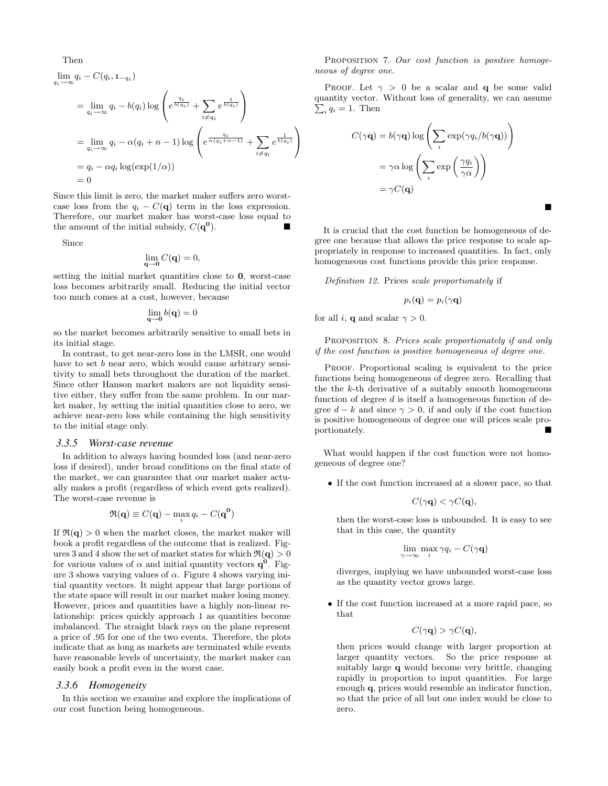Then

$$
\lim_{q_i \to \infty} q_i - C(q_i, \mathbf{1}_{-q_i})
$$
\n
$$
= \lim_{q_i \to \infty} q_i - b(q_i) \log \left( e^{\frac{q_i}{b(q_i)}} + \sum_{i \neq q_i} e^{\frac{1}{b(q_i)}} \right)
$$
\n
$$
= \lim_{q_i \to \infty} q_i - \alpha(q_i + n - 1) \log \left( e^{\frac{q_i}{\alpha(q_i + n - 1)}} + \sum_{i \neq q_i} e^{\frac{1}{b(q_i)}} \right)
$$
\n
$$
= q_i - \alpha q_i \log(\exp(1/\alpha))
$$
\n
$$
= 0
$$

Since this limit is zero, the market maker suffers zero worstcase loss from the  $q_i - C(\mathbf{q})$  term in the loss expression. Therefore, our market maker has worst-case loss equal to the amount of the initial subsidy,  $C(\mathbf{q}^0)$  $\blacksquare$ ).

Since

$$
\lim_{\mathbf{q}\to\mathbf{0}}C(\mathbf{q})=0,
$$

setting the initial market quantities close to 0, worst-case loss becomes arbitrarily small. Reducing the initial vector too much comes at a cost, however, because

$$
\lim_{\mathbf{q}\to\mathbf{0}}b(\mathbf{q})=0
$$

so the market becomes arbitrarily sensitive to small bets in its initial stage.

In contrast, to get near-zero loss in the LMSR, one would have to set b near zero, which would cause arbitrary sensitivity to small bets throughout the duration of the market. Since other Hanson market makers are not liquidity sensitive either, they suffer from the same problem. In our market maker, by setting the initial quantities close to zero, we achieve near-zero loss while containing the high sensitivity to the initial stage only.

#### *3.3.5 Worst-case revenue*

In addition to always having bounded loss (and near-zero loss if desired), under broad conditions on the final state of the market, we can guarantee that our market maker actually makes a profit (regardless of which event gets realized). The worst-case revenue is

$$
\mathfrak{R}(\mathbf{q}) \equiv C(\mathbf{q}) - \max_{i} q_i - C(\mathbf{q^0})
$$

If  $\Re(q) > 0$  when the market closes, the market maker will book a profit regardless of the outcome that is realized. Figures 3 and 4 show the set of market states for which  $\Re(\mathbf{q}) > 0$ for various values of  $\alpha$  and initial quantity vectors  $q^0$ . Figure 3 shows varying values of  $\alpha$ . Figure 4 shows varying initial quantity vectors. It might appear that large portions of the state space will result in our market maker losing money. However, prices and quantities have a highly non-linear relationship: prices quickly approach 1 as quantities become imbalanced. The straight black rays on the plane represent a price of .95 for one of the two events. Therefore, the plots indicate that as long as markets are terminated while events have reasonable levels of uncertainty, the market maker can easily book a profit even in the worst case.

#### *3.3.6 Homogeneity*

In this section we examine and explore the implications of our cost function being homogeneous.

PROPOSITION 7. Our cost function is positive homogeneous of degree one.

PROOF. Let  $\gamma > 0$  be a scalar and **q** be some valid quantity vector. Without loss of generality, we can assume  $\sum_i q_i = 1$ . Then

$$
C(\gamma \mathbf{q}) = b(\gamma \mathbf{q}) \log \left( \sum_{i} \exp(\gamma q_i / b(\gamma \mathbf{q})) \right)
$$

$$
= \gamma \alpha \log \left( \sum_{i} \exp \left( \frac{\gamma q_i}{\gamma \alpha} \right) \right)
$$

$$
= \gamma C(\mathbf{q})
$$

It is crucial that the cost function be homogeneous of degree one because that allows the price response to scale appropriately in response to increased quantities. In fact, only homogeneous cost functions provide this price response.

Definition 12. Prices scale proportionately if

$$
p_i(\mathbf{q})=p_i(\gamma \mathbf{q})
$$

for all i, **q** and scalar  $\gamma > 0$ .

PROPOSITION 8. Prices scale proportionately if and only if the cost function is positive homogeneous of degree one.

PROOF. Proportional scaling is equivalent to the price functions being homogeneous of degree zero. Recalling that the the  $k$ -th derivative of a suitably smooth homogeneous function of degree  $d$  is itself a homogeneous function of degree  $d - k$  and since  $\gamma > 0$ , if and only if the cost function is positive homogeneous of degree one will prices scale proportionately.

What would happen if the cost function were not homogeneous of degree one?

• If the cost function increased at a slower pace, so that

$$
C(\gamma \mathbf{q}) < \gamma C(\mathbf{q}),
$$

then the worst-case loss is unbounded. It is easy to see that in this case, the quantity

$$
\lim_{\gamma \to \infty} \max_i \gamma q_i - C(\gamma \mathbf{q})
$$

diverges, implying we have unbounded worst-case loss as the quantity vector grows large.

• If the cost function increased at a more rapid pace, so that

$$
C(\gamma \mathbf{q}) > \gamma C(\mathbf{q}),
$$

then prices would change with larger proportion at larger quantity vectors. So the price response at suitably large q would become very brittle, changing rapidly in proportion to input quantities. For large enough q, prices would resemble an indicator function, so that the price of all but one index would be close to zero.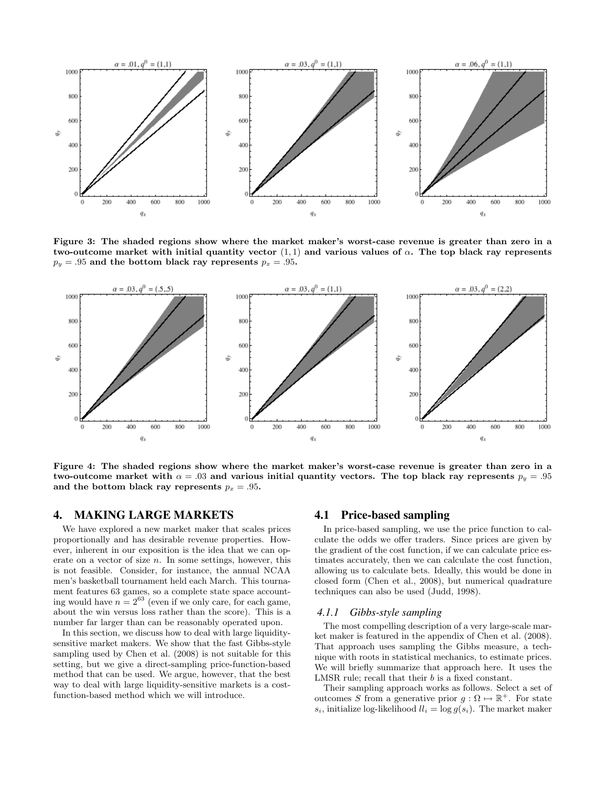

Figure 3: The shaded regions show where the market maker's worst-case revenue is greater than zero in a two-outcome market with initial quantity vector  $(1,1)$  and various values of  $\alpha$ . The top black ray represents  $p_y = .95$  and the bottom black ray represents  $p_x = .95$ .



Figure 4: The shaded regions show where the market maker's worst-case revenue is greater than zero in a two-outcome market with  $\alpha = 0.03$  and various initial quantity vectors. The top black ray represents  $p_y = 0.95$ and the bottom black ray represents  $p_x = .95$ .

## 4. MAKING LARGE MARKETS

We have explored a new market maker that scales prices proportionally and has desirable revenue properties. However, inherent in our exposition is the idea that we can operate on a vector of size  $n$ . In some settings, however, this is not feasible. Consider, for instance, the annual NCAA men's basketball tournament held each March. This tournament features 63 games, so a complete state space accounting would have  $n = 2^{63}$  (even if we only care, for each game, about the win versus loss rather than the score). This is a number far larger than can be reasonably operated upon.

In this section, we discuss how to deal with large liquiditysensitive market makers. We show that the fast Gibbs-style sampling used by Chen et al. (2008) is not suitable for this setting, but we give a direct-sampling price-function-based method that can be used. We argue, however, that the best way to deal with large liquidity-sensitive markets is a costfunction-based method which we will introduce.

## 4.1 Price-based sampling

In price-based sampling, we use the price function to calculate the odds we offer traders. Since prices are given by the gradient of the cost function, if we can calculate price estimates accurately, then we can calculate the cost function, allowing us to calculate bets. Ideally, this would be done in closed form (Chen et al., 2008), but numerical quadrature techniques can also be used (Judd, 1998).

#### *4.1.1 Gibbs-style sampling*

The most compelling description of a very large-scale market maker is featured in the appendix of Chen et al. (2008). That approach uses sampling the Gibbs measure, a technique with roots in statistical mechanics, to estimate prices. We will briefly summarize that approach here. It uses the LMSR rule; recall that their b is a fixed constant.

Their sampling approach works as follows. Select a set of outcomes S from a generative prior  $g : \Omega \mapsto \mathbb{R}^+$ . For state  $s_i$ , initialize log-likelihood  $ll_i = \log g(s_i)$ . The market maker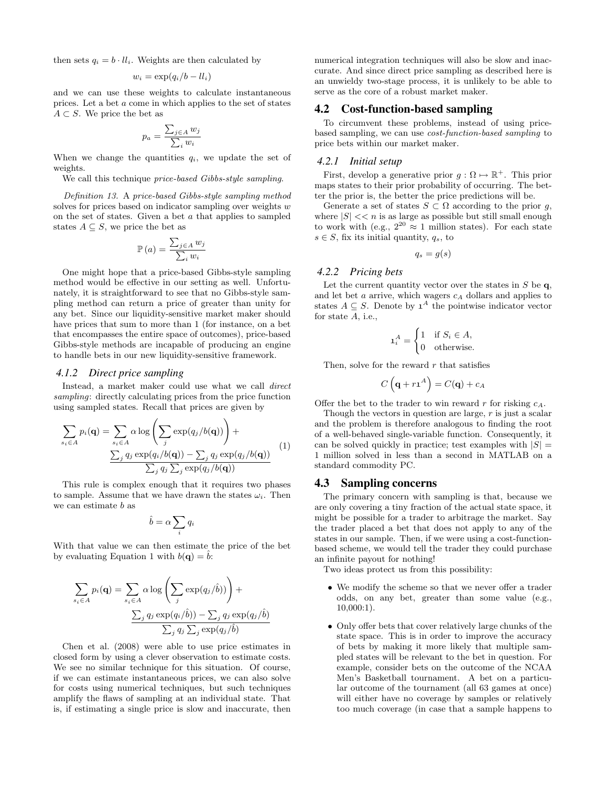then sets  $q_i = b \cdot ll_i$ . Weights are then calculated by

$$
w_i = \exp(q_i/b - ll_i)
$$

and we can use these weights to calculate instantaneous prices. Let a bet a come in which applies to the set of states  $A \subset S$ . We price the bet as

$$
p_a = \frac{\sum_{j \in A} w_j}{\sum_i w_i}
$$

When we change the quantities  $q_i$ , we update the set of weights.

We call this technique *price-based Gibbs-style sampling*.

Definition 13. A price-based Gibbs-style sampling method solves for prices based on indicator sampling over weights  $w$ on the set of states. Given a bet a that applies to sampled states  $A \subseteq S$ , we price the bet as

$$
\mathbb{P}\left(a\right) = \frac{\sum_{j \in A} w_j}{\sum_i w_i}
$$

One might hope that a price-based Gibbs-style sampling method would be effective in our setting as well. Unfortunately, it is straightforward to see that no Gibbs-style sampling method can return a price of greater than unity for any bet. Since our liquidity-sensitive market maker should have prices that sum to more than 1 (for instance, on a bet that encompasses the entire space of outcomes), price-based Gibbs-style methods are incapable of producing an engine to handle bets in our new liquidity-sensitive framework.

#### *4.1.2 Direct price sampling*

Instead, a market maker could use what we call direct sampling: directly calculating prices from the price function using sampled states. Recall that prices are given by

$$
\sum_{s_i \in A} p_i(\mathbf{q}) = \sum_{s_i \in A} \alpha \log \left( \sum_j \exp(q_j/b(\mathbf{q})) \right) +
$$
  

$$
\frac{\sum_j q_j \exp(q_i/b(\mathbf{q})) - \sum_j q_j \exp(q_j/b(\mathbf{q}))}{\sum_j q_j \sum_j \exp(q_j/b(\mathbf{q}))}
$$
 (1)

This rule is complex enough that it requires two phases to sample. Assume that we have drawn the states  $\omega_i$ . Then we can estimate b as

$$
\hat{b} = \alpha \sum_i q_i
$$

With that value we can then estimate the price of the bet by evaluating Equation 1 with  $b(\mathbf{q}) = \hat{b}$ :

$$
\sum_{s_i \in A} p_i(\mathbf{q}) = \sum_{s_i \in A} \alpha \log \left( \sum_j \exp(q_j/\hat{b})) \right) +
$$

$$
\frac{\sum_j q_j \exp(q_i/\hat{b})) - \sum_j q_j \exp(q_j/\hat{b})}{\sum_j q_j \sum_j \exp(q_j/\hat{b})}
$$

Chen et al. (2008) were able to use price estimates in closed form by using a clever observation to estimate costs. We see no similar technique for this situation. Of course, if we can estimate instantaneous prices, we can also solve for costs using numerical techniques, but such techniques amplify the flaws of sampling at an individual state. That is, if estimating a single price is slow and inaccurate, then

numerical integration techniques will also be slow and inaccurate. And since direct price sampling as described here is an unwieldy two-stage process, it is unlikely to be able to serve as the core of a robust market maker.

## 4.2 Cost-function-based sampling

To circumvent these problems, instead of using pricebased sampling, we can use cost-function-based sampling to price bets within our market maker.

#### *4.2.1 Initial setup*

First, develop a generative prior  $g: \Omega \mapsto \mathbb{R}^+$ . This prior maps states to their prior probability of occurring. The better the prior is, the better the price predictions will be.

Generate a set of states  $S \subset \Omega$  according to the prior g, where  $|S| \ll n$  is as large as possible but still small enough to work with (e.g.,  $2^{20} \approx 1$  million states). For each state  $s \in S$ , fix its initial quantity,  $q_s$ , to

$$
q_s = g(s)
$$

## *4.2.2 Pricing bets*

Let the current quantity vector over the states in  $S$  be q, and let bet  $a$  arrive, which wagers  $c_A$  dollars and applies to states  $A \subseteq S$ . Denote by  $\mathbf{1}^{A}$  the pointwise indicator vector for state A, i.e.,

$$
\mathbf{1}_i^A = \begin{cases} 1 & \text{if } S_i \in A, \\ 0 & \text{otherwise.} \end{cases}
$$

Then, solve for the reward  $r$  that satisfies

$$
C\left(\mathbf{q} + r\mathbf{1}^{A}\right) = C(\mathbf{q}) + c_{A}
$$

Offer the bet to the trader to win reward r for risking  $c_A$ .

Though the vectors in question are large,  $r$  is just a scalar and the problem is therefore analogous to finding the root of a well-behaved single-variable function. Consequently, it can be solved quickly in practice; test examples with  $|S|$  = 1 million solved in less than a second in MATLAB on a standard commodity PC.

### 4.3 Sampling concerns

The primary concern with sampling is that, because we are only covering a tiny fraction of the actual state space, it might be possible for a trader to arbitrage the market. Say the trader placed a bet that does not apply to any of the states in our sample. Then, if we were using a cost-functionbased scheme, we would tell the trader they could purchase an infinite payout for nothing!

Two ideas protect us from this possibility:

- We modify the scheme so that we never offer a trader odds, on any bet, greater than some value (e.g., 10,000:1).
- Only offer bets that cover relatively large chunks of the state space. This is in order to improve the accuracy of bets by making it more likely that multiple sampled states will be relevant to the bet in question. For example, consider bets on the outcome of the NCAA Men's Basketball tournament. A bet on a particular outcome of the tournament (all 63 games at once) will either have no coverage by samples or relatively too much coverage (in case that a sample happens to